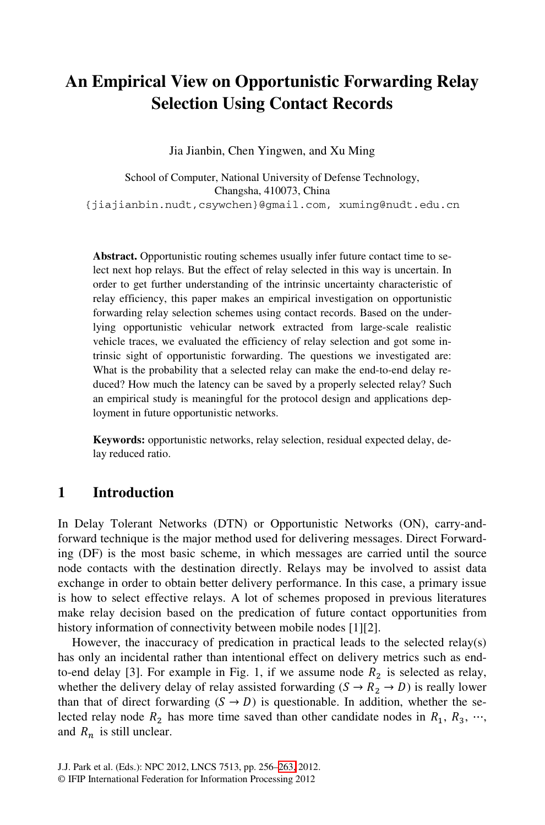# **An Empirical View on Opportunistic Forwarding Relay Selection Using Contact Records**

Jia Jianbin, Chen Yingwen, and Xu Ming

School of Computer, National University of Defense Technology, Changsha, 410073, China {jiajianbin.nudt,csywchen}@gmail.com, xuming@nudt.edu.cn

**Abstract.** Opportunistic routing schemes usually infer future contact time to select next hop relays. But the effect of relay selected in this way is uncertain. In order to get further understanding of the intrinsic uncertainty characteristic of relay efficiency, this paper makes an empirical investigation on opportunistic forwarding relay selection schemes using contact records. Based on the underlying opportunistic vehicular network extracted from large-scale realistic vehicle traces, we evaluated the efficiency of relay selection and got some intrinsic sight of opportunistic forwarding. The questions we investigated are: What is the probability that a selected relay can make the end-to-end delay reduced? How much the latency can be saved by a properly selected relay? Such an empirical study is meaningful for the protocol design and applications deployment in future opportunistic networks.

**Keywords:** opportunistic networks, relay selection, residual expected delay, delay reduced ratio.

### **1 Introduction**

In Delay Tolerant Networks (DTN) or Opportunistic Networks (ON), carry-andforward technique is the major method used for delivering messages. Direct Forwarding (DF) is the most basic scheme, in which messages are carried until the source node contacts with the destination directly. Relays may be involved to assist data exchange in order to obtain better delivery performance. In this case, a primary issue is how to select effective relays. A lot of schemes proposed in previous literatures make relay decision based on the predication of future contact opportunities from history information of connectivity between mobile nodes [1][2].

However, the inaccuracy of predication in practical leads to the selected relay(s) has only an incidental r[ather](#page-7-0) than intentional effect on delivery metrics such as endto-end delay [3]. For example in Fig. 1, if we assume node  $R_2$  is selected as relay, whether the delivery delay of relay assisted forwarding ( $S \rightarrow R_2 \rightarrow D$ ) is really lower than that of direct forwarding  $(S \rightarrow D)$  is questionable. In addition, whether the selected relay node  $R_2$  has more time saved than other candidate nodes in  $R_1, R_3, \dots$ and  $R_n$  is still unclear.

© IFIP International Federation for Information Processing 2012

J.J. Park et al. (Eds.): NPC 2012, LNCS 7513, pp. 256–263, 2012.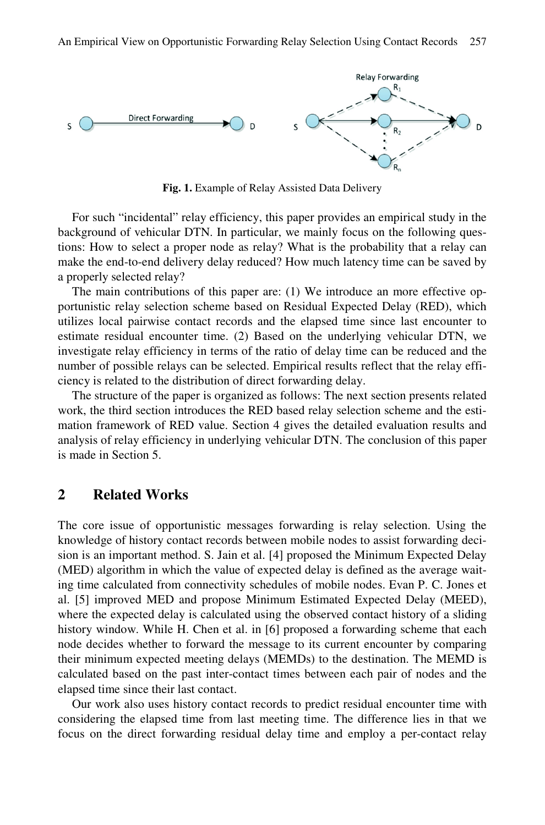

**Fig. 1.** Example of Relay Assisted Data Delivery

For such "incidental" relay efficiency, this paper provides an empirical study in the background of vehicular DTN. In particular, we mainly focus on the following questions: How to select a proper node as relay? What is the probability that a relay can make the end-to-end delivery delay reduced? How much latency time can be saved by a properly selected relay?

The main contributions of this paper are: (1) We introduce an more effective opportunistic relay selection scheme based on Residual Expected Delay (RED), which utilizes local pairwise contact records and the elapsed time since last encounter to estimate residual encounter time. (2) Based on the underlying vehicular DTN, we investigate relay efficiency in terms of the ratio of delay time can be reduced and the number of possible relays can be selected. Empirical results reflect that the relay efficiency is related to the distribution of direct forwarding delay.

The structure of the paper is organized as follows: The next section presents related work, the third section introduces the RED based relay selection scheme and the estimation framework of RED value. Section 4 gives the detailed evaluation results and analysis of relay efficiency in underlying vehicular DTN. The conclusion of this paper is made in Section 5.

### **2 Related Works**

The core issue of opportunistic messages forwarding is relay selection. Using the knowledge of history contact records between mobile nodes to assist forwarding decision is an important method. S. Jain et al. [4] proposed the Minimum Expected Delay (MED) algorithm in which the value of expected delay is defined as the average waiting time calculated from connectivity schedules of mobile nodes. Evan P. C. Jones et al. [5] improved MED and propose Minimum Estimated Expected Delay (MEED), where the expected delay is calculated using the observed contact history of a sliding history window. While H. Chen et al. in [6] proposed a forwarding scheme that each node decides whether to forward the message to its current encounter by comparing their minimum expected meeting delays (MEMDs) to the destination. The MEMD is calculated based on the past inter-contact times between each pair of nodes and the elapsed time since their last contact.

Our work also uses history contact records to predict residual encounter time with considering the elapsed time from last meeting time. The difference lies in that we focus on the direct forwarding residual delay time and employ a per-contact relay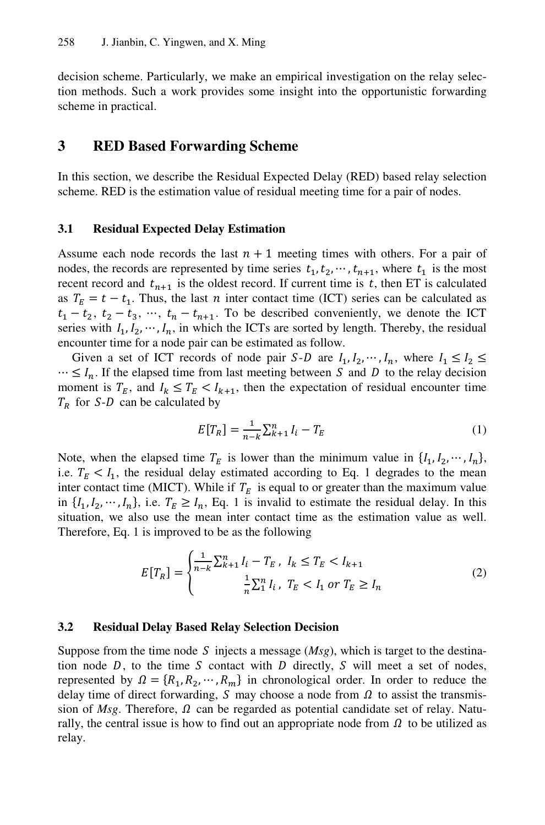decision scheme. Particularly, we make an empirical investigation on the relay selection methods. Such a work provides some insight into the opportunistic forwarding scheme in practical.

### **3 RED Based Forwarding Scheme**

In this section, we describe the Residual Expected Delay (RED) based relay selection scheme. RED is the estimation value of residual meeting time for a pair of nodes.

#### **3.1 Residual Expected Delay Estimation**

Assume each node records the last  $n + 1$  meeting times with others. For a pair of nodes, the records are represented by time series  $t_1, t_2, \dots, t_{n+1}$ , where  $t_1$  is the most recent record and  $t_{n+1}$  is the oldest record. If current time is t, then ET is calculated as  $T_E = t - t_1$ . Thus, the last *n* inter contact time (ICT) series can be calculated as  $t_1 - t_2$ ,  $t_2 - t_3$ ,  $\cdots$ ,  $t_n - t_{n+1}$ . To be described conveniently, we denote the ICT series with  $I_1, I_2, \dots, I_n$ , in which the ICTs are sorted by length. Thereby, the residual encounter time for a node pair can be estimated as follow.

Given a set of ICT records of node pair S-D are  $I_1, I_2, \dots, I_n$ , where  $I_1 \leq I_2 \leq I_3$  $\cdots \leq I_n$ . If the elapsed time from last meeting between S and D to the relay decision moment is  $T_E$ , and  $I_k \leq T_E < I_{k+1}$ , then the expectation of residual encounter time  $T_R$  for S-D can be calculated by

$$
E[T_R] = \frac{1}{n-k} \sum_{k=1}^{n} I_i - T_E
$$
 (1)

Note, when the elapsed time  $T_E$  is lower than the minimum value in  $\{I_1, I_2, \dots, I_n\}$ , i.e.  $T_E < I_1$ , the residual delay estimated according to Eq. 1 degrades to the mean inter contact time (MICT). While if  $T_E$  is equal to or greater than the maximum value in  $\{I_1, I_2, \dots, I_n\}$ , i.e.  $T_E \geq I_n$ , Eq. 1 is invalid to estimate the residual delay. In this situation, we also use the mean inter contact time as the estimation value as well. Therefore, Eq. 1 is improved to be as the following

$$
E[T_R] = \begin{cases} \frac{1}{n-k} \sum_{k=1}^{n} I_i - T_E, & I_k \le T_E < I_{k+1} \\ \frac{1}{n} \sum_{i=1}^{n} I_i, & T_E < I_1 \text{ or } T_E \ge I_n \end{cases} \tag{2}
$$

#### **3.2 Residual Delay Based Relay Selection Decision**

Suppose from the time node S injects a message  $(Msg)$ , which is target to the destination node  $D$ , to the time  $S$  contact with  $D$  directly,  $S$  will meet a set of nodes, represented by  $\Omega = \{R_1, R_2, \dots, R_m\}$  in chronological order. In order to reduce the delay time of direct forwarding, S may choose a node from  $\Omega$  to assist the transmission of  $Msg$ . Therefore,  $\Omega$  can be regarded as potential candidate set of relay. Naturally, the central issue is how to find out an appropriate node from  $\Omega$  to be utilized as relay.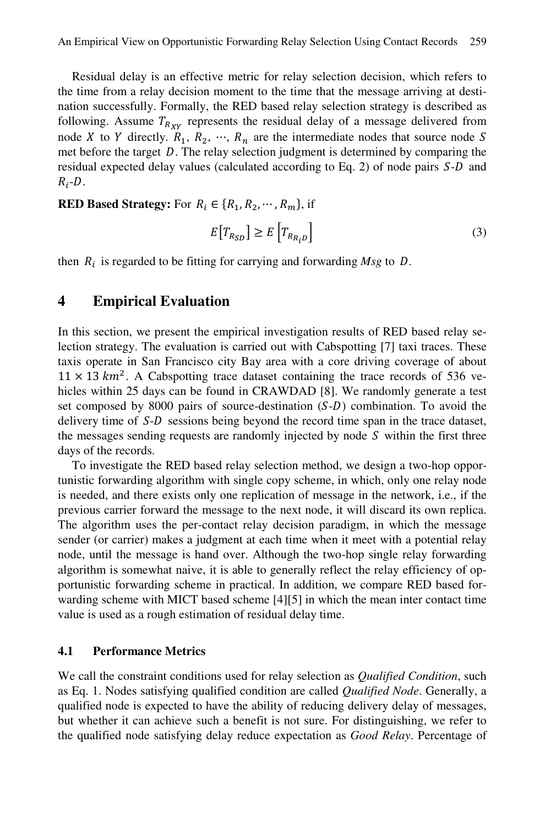Residual delay is an effective metric for relay selection decision, which refers to the time from a relay decision moment to the time that the message arriving at destination successfully. Formally, the RED based relay selection strategy is described as following. Assume  $T_{R_{\rm\bf v}}$  represents the residual delay of a message delivered from node X to Y directly.  $R_1, R_2, \dots, R_n$  are the intermediate nodes that source node S met before the target  $D$ . The relay selection judgment is determined by comparing the residual expected delay values (calculated according to Eq. 2) of node pairs  $S-D$  and  $R_i$ -D.

## **RED Based Strategy:** For  $R_i \in \{R_1, R_2, \dots, R_m\}$ , if

$$
E\left[T_{R_{SD}}\right] \ge E\left[T_{R_{R_i D}}\right] \tag{3}
$$

then  $R_i$  is regarded to be fitting for carrying and forwarding *Msg* to  $D$ .

### **4 Empirical Evaluation**

In this section, we present the empirical investigation results of RED based relay selection strategy. The evaluation is carried out with Cabspotting [7] taxi traces. These taxis operate in San Francisco city Bay area with a core driving coverage of about  $11 \times 13$  km<sup>2</sup>. A Cabspotting trace dataset containing the trace records of 536 vehicles within 25 days can be found in CRAWDAD [8]. We randomly generate a test set composed by 8000 pairs of source-destination  $(S-D)$  combination. To avoid the delivery time of  $S-D$  sessions being beyond the record time span in the trace dataset, the messages sending requests are randomly injected by node  $S$  within the first three days of the records.

To investigate the RED based relay selection method, we design a two-hop opportunistic forwarding algorithm with single copy scheme, in which, only one relay node is needed, and there exists only one replication of message in the network, i.e., if the previous carrier forward the message to the next node, it will discard its own replica. The algorithm uses the per-contact relay decision paradigm, in which the message sender (or carrier) makes a judgment at each time when it meet with a potential relay node, until the message is hand over. Although the two-hop single relay forwarding algorithm is somewhat naive, it is able to generally reflect the relay efficiency of opportunistic forwarding scheme in practical. In addition, we compare RED based forwarding scheme with MICT based scheme [4][5] in which the mean inter contact time value is used as a rough estimation of residual delay time.

#### **4.1 Performance Metrics**

We call the constraint conditions used for relay selection as *Qualified Condition*, such as Eq. 1. Nodes satisfying qualified condition are called *Qualified Node*. Generally, a qualified node is expected to have the ability of reducing delivery delay of messages, but whether it can achieve such a benefit is not sure. For distinguishing, we refer to the qualified node satisfying delay reduce expectation as *Good Relay*. Percentage of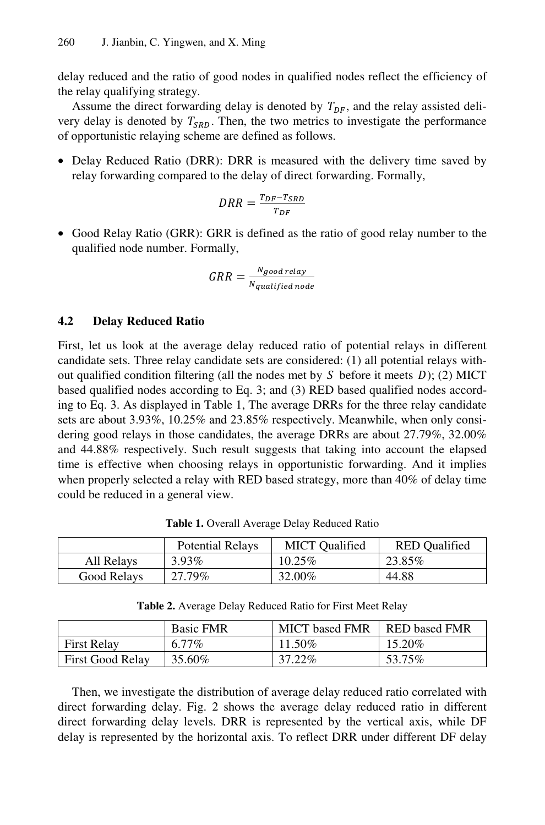delay reduced and the ratio of good nodes in qualified nodes reflect the efficiency of the relay qualifying strategy.

Assume the direct forwarding delay is denoted by  $T_{DF}$ , and the relay assisted delivery delay is denoted by  $T_{SRD}$ . Then, the two metrics to investigate the performance of opportunistic relaying scheme are defined as follows.

• Delay Reduced Ratio (DRR): DRR is measured with the delivery time saved by relay forwarding compared to the delay of direct forwarding. Formally,

$$
DRR = \frac{T_{DF} - T_{SRD}}{T_{DF}}
$$

• Good Relay Ratio (GRR): GRR is defined as the ratio of good relay number to the qualified node number. Formally,

$$
GRR = \frac{N_{good\, relay}}{N_{qualified\,node}}
$$

#### **4.2 Delay Reduced Ratio**

First, let us look at the average delay reduced ratio of potential relays in different candidate sets. Three relay candidate sets are considered: (1) all potential relays without qualified condition filtering (all the nodes met by  $S$  before it meets  $D$ ); (2) MICT based qualified nodes according to Eq. 3; and (3) RED based qualified nodes according to Eq. 3. As displayed in Table 1, The average DRRs for the three relay candidate sets are about 3.93%, 10.25% and 23.85% respectively. Meanwhile, when only considering good relays in those candidates, the average DRRs are about 27.79%, 32.00% and 44.88% respectively. Such result suggests that taking into account the elapsed time is effective when choosing relays in opportunistic forwarding. And it implies when properly selected a relay with RED based strategy, more than 40% of delay time could be reduced in a general view.

|             | <b>Potential Relays</b> | <b>MICT</b> Oualified | <b>RED</b> Oualified |
|-------------|-------------------------|-----------------------|----------------------|
| All Relavs  | 3.93%                   | $10.25\%$             | 23.85%               |
| Good Relays | 27.79%                  | 32.00%                | 44.88                |

**Table 1.** Overall Average Delay Reduced Ratio

**Table 2.** Average Delay Reduced Ratio for First Meet Relay

|                    | <b>Basic FMR</b> | <b>MICT</b> based FMR | 1 RED based FMR |
|--------------------|------------------|-----------------------|-----------------|
| <b>First Relay</b> | 6.77%            | 11.50%                | 15.20%          |
| First Good Relay   | 35.60%           | 37.22%                | 53.75%          |

Then, we investigate the distribution of average delay reduced ratio correlated with direct forwarding delay. Fig. 2 shows the average delay reduced ratio in different direct forwarding delay levels. DRR is represented by the vertical axis, while DF delay is represented by the horizontal axis. To reflect DRR under different DF delay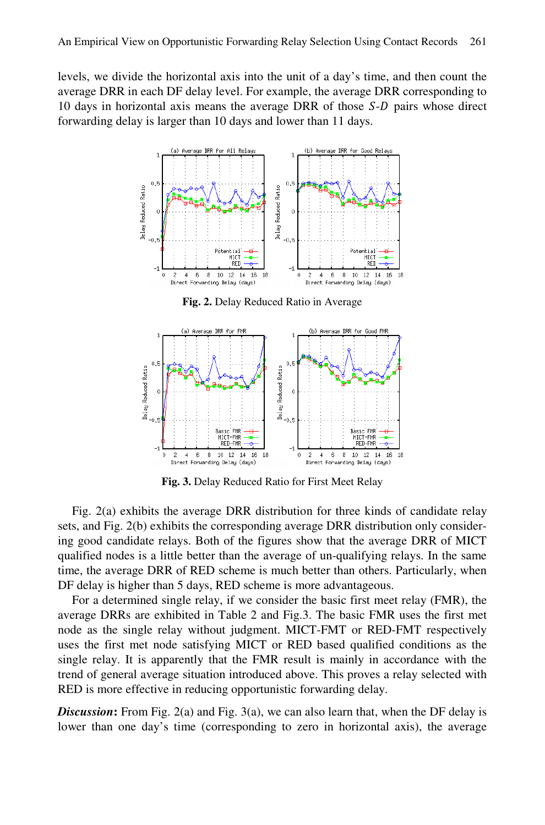levels, we divide the horizontal axis into the unit of a day's time, and then count the average DRR in each DF delay level. For example, the average DRR corresponding to 10 days in horizontal axis means the average DRR of those S-D pairs whose direct forwarding delay is larger than 10 days and lower than 11 days.



**Fig g. 2.** Delay Reduced Ratio in Average



**Fig. 3.** Delay Reduced Ratio for First Meet Relay

Fig.  $2(a)$  exhibits the average DRR distribution for three kinds of candidate relay sets, and Fig. 2(b) exhibits the corresponding average DRR distribution only considering good candidate relays. Both of the figures show that the average DRR of MICT qualified nodes is a little better than the average of un-qualifying relays. In the same time, the average DRR of RED scheme is much better than others. Particularly, when DF delay is higher than 5 days, RED scheme is more advantageous.

For a determined single relay, if we consider the basic first meet relay (FMR), the average DRRs are exhibited in Table 2 and Fig.3. The basic FMR uses the first met node as the single relay without judgment. MICT-FMT or RED-FMT respectively uses the first met node satisfying MICT or RED based qualified conditions as the single relay. It is apparently that the FMR result is mainly in accordance with the trend of general average situation introduced above. This proves a relay selected with RED is more effective in reducing opportunistic forwarding delay.

**Discussion:** From Fig. 2(a) and Fig. 3(a), we can also learn that, when the DF delay is lower than one day's time (corresponding to zero in horizontal axis), the average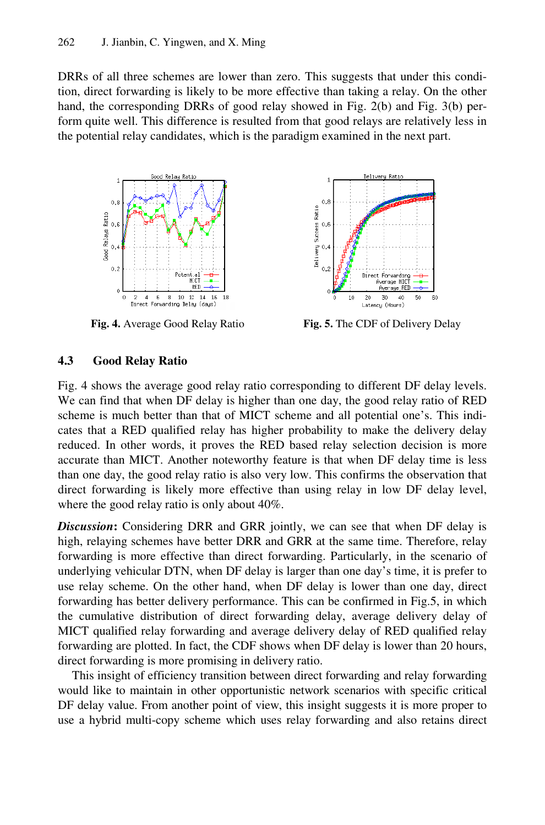DRRs of all three schemes are lower than zero. This suggests that under this condition, direct forwarding is likely to be more effective than taking a relay. On the other hand, the corresponding DRRs of good relay showed in Fig. 2(b) and Fig. 3(b) perform quite well. This difference is resulted from that good relays are relatively less in the potential relay candidates, which is the paradigm examined in the next part.



**Fig. 4.** Average Good R



Fig. 5. The CDF of Delivery Delay

#### **4.3 Good Relay Ratio**

Fig. 4 shows the average good relay ratio corresponding to different DF delay levels. We can find that when DF delay is higher than one day, the good relay ratio of RED scheme is much better than that of MICT scheme and all potential one's. This indicates that a RED qualified relay has higher probability to make the delivery delay reduced. In other words, it proves the RED based relay selection decision is more accurate than MICT. Another noteworthy feature is that when DF delay time is less than one day, the good relay ratio is also very low. This confirms the observation that direct forwarding is likely more effective than using relay in low DF delay le vel, where the good relay ratio is only about 40%.

**Discussion:** Considering DRR and GRR jointly, we can see that when DF delay is high, relaying schemes have better DRR and GRR at the same time. Therefore, relay forwarding is more effective than direct forwarding. Particularly, in the scenario of underlying vehicular DTN, when DF delay is larger than one day's time, it is prefer to use relay scheme. On the other hand, when DF delay is lower than one day, direct forwarding has better delivery performance. This can be confirmed in Fig.5, in which the cumulative distribution of direct forwarding delay, average delivery delay of MICT qualified relay forwarding and average delivery delay of RED qualified relay forwarding are plotted. In fact, the CDF shows when DF delay is lower than 20 hours, direct forwarding is more p romising in delivery ratio.

This insight of efficiency transition between direct forwarding and relay forwarding would like to maintain in other opportunistic network scenarios with specific critical DF delay value. From another point of view, this insight suggests it is more proper to use a hybrid multi-copy scheme which uses relay forwarding and also retains direct